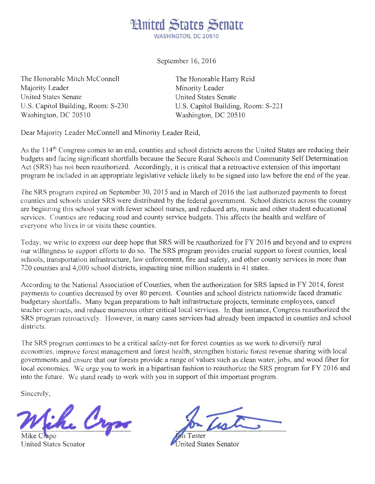

September 16, 2016

The Honorable Mitch McConnell Majority Leader United States Senate U.S. Capitol Building, Room: S-230 Washington, DC 20510

The Honorable Harry Reid Minority Leader United States Senate U.S. Capitol Building, Room: S-221 Washington, DC 205 10

Dear Majority Leader McConnell and Minority Leader Reid,

As the 114<sup>th</sup> Congress comes to an end, counties and school districts across the United States are reducing their budgets and facing significant shortfalls because the Secure Rural Schools and Community Self Determination Act (SRS) has not been reauthorized. Accordingly, it is critical that a retroactive extension of this important program be included in an appropriate legislative vehicle likely to be signed into law before the end of the year.

The SRS program expired on September 30, 2015 and in March of 2016 the last authorized payments to forest counties and schools under SRS were distributed by the federal government. School districts across the country are beginning this school year with fewer school nurses, and reduced arts, music and other student educational services. Counties are reducing road and county service budgets. This affects the health and welfare of everyone who lives in or visits these counties.

Today, we write to express our deep hope that SRS will be reauthorized for FY 2016 and beyond and to express our willingness to support efforts to do so. The SRS program provides crucial support to forest counties, local schools, transportation infrastructure, law enforcement, fire and safety, and other county services in more than 720 counties and 4,000 school districts, impacting nine million students in 41 states.

According to the National Association of Counties, when the authorization for SRS lapsed in FY 2014, forest payments to counties decreased by over 80 percent. Counties and school districts nationwide faced dramatic budgetary shortfalls. Many began preparations to halt infrastructure projects, terminate employees, cancel teacher contracts, and reduce numerous other critical local services. In that instance, Congress reauthorized the SRS program retroactively. However, in many cases services had already been impacted in counties and school districts.

The SRS program continues to be a critical safety-net for forest counties as we work to diversify rural economies, improve forest management and forest health, strengthen historic forest revenue sharing with local governments and ensure that our forests provide a range of values such as clean water, jobs, and wood fiber for local economics. We urge you to work in a bipartisan fashion to reauthorize the SRS program for FY 2016 and into the future. We stand ready to work with you in support of this important program.

Sincerely,

Crys

po United States Senator

ited States Senator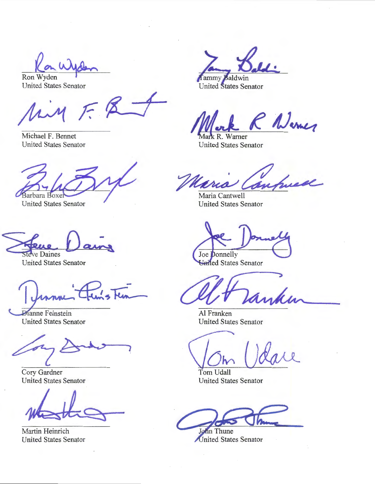Ron Wyden United States Senator

 $F_{A}$ :.J

Michael F. Bennet United States Senator

Barbara Boxei

**United States Senator** 

**Steve Daines** 

United States Senator

**Dianne Feinstein** United States Senator

1

Cory Gardner United States Senator

Martin Heinrich United States Senator

• Tammy Baldwin

United States Senator

P Nemes

 $\sqrt{ar}$  $\mathbb{R}$ Warner United States Senator

Maria Cantwell United States Senator

Joe Donnelly

United States Senator

de

Al Franken United States Senator

" ~

Tom Udall United States Senator

in Thune United States Senator